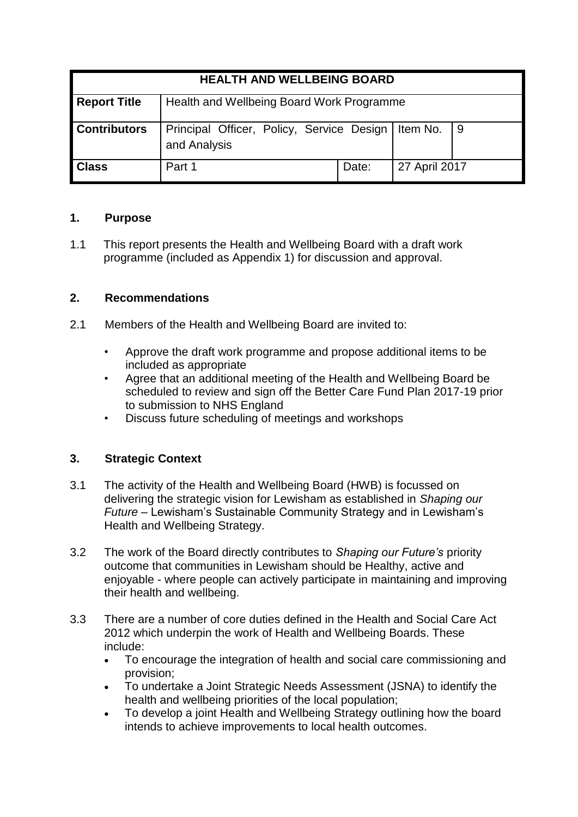| <b>HEALTH AND WELLBEING BOARD</b> |                                                                      |       |               |     |
|-----------------------------------|----------------------------------------------------------------------|-------|---------------|-----|
| <b>Report Title</b>               | Health and Wellbeing Board Work Programme                            |       |               |     |
| <b>Contributors</b>               | Principal Officer, Policy, Service Design   Item No.<br>and Analysis |       |               | l 9 |
| <b>Class</b>                      | Part 1                                                               | Date: | 27 April 2017 |     |

## **1. Purpose**

1.1 This report presents the Health and Wellbeing Board with a draft work programme (included as Appendix 1) for discussion and approval.

# **2. Recommendations**

- 2.1 Members of the Health and Wellbeing Board are invited to:
	- Approve the draft work programme and propose additional items to be included as appropriate
	- Agree that an additional meeting of the Health and Wellbeing Board be scheduled to review and sign off the Better Care Fund Plan 2017-19 prior to submission to NHS England
	- Discuss future scheduling of meetings and workshops

# **3. Strategic Context**

- 3.1 The activity of the Health and Wellbeing Board (HWB) is focussed on delivering the strategic vision for Lewisham as established in *Shaping our Future* – Lewisham's Sustainable Community Strategy and in Lewisham's Health and Wellbeing Strategy.
- 3.2 The work of the Board directly contributes to *Shaping our Future's* priority outcome that communities in Lewisham should be Healthy, active and enjoyable - where people can actively participate in maintaining and improving their health and wellbeing.
- 3.3 There are a number of core duties defined in the Health and Social Care Act 2012 which underpin the work of Health and Wellbeing Boards. These include:
	- To encourage the integration of health and social care commissioning and provision;
	- To undertake a Joint Strategic Needs Assessment (JSNA) to identify the health and wellbeing priorities of the local population;
	- To develop a joint Health and Wellbeing Strategy outlining how the board intends to achieve improvements to local health outcomes.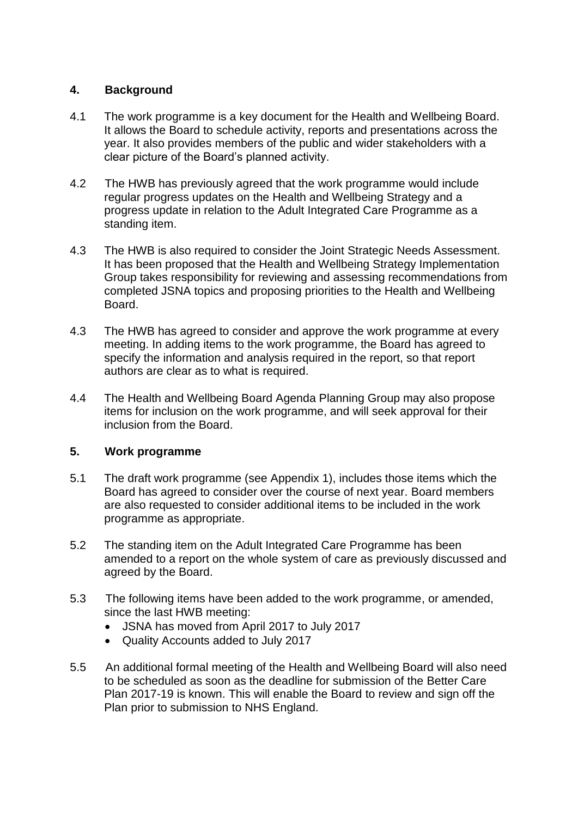## **4. Background**

- 4.1 The work programme is a key document for the Health and Wellbeing Board. It allows the Board to schedule activity, reports and presentations across the year. It also provides members of the public and wider stakeholders with a clear picture of the Board's planned activity.
- 4.2 The HWB has previously agreed that the work programme would include regular progress updates on the Health and Wellbeing Strategy and a progress update in relation to the Adult Integrated Care Programme as a standing item.
- 4.3 The HWB is also required to consider the Joint Strategic Needs Assessment. It has been proposed that the Health and Wellbeing Strategy Implementation Group takes responsibility for reviewing and assessing recommendations from completed JSNA topics and proposing priorities to the Health and Wellbeing Board.
- 4.3 The HWB has agreed to consider and approve the work programme at every meeting. In adding items to the work programme, the Board has agreed to specify the information and analysis required in the report, so that report authors are clear as to what is required.
- 4.4 The Health and Wellbeing Board Agenda Planning Group may also propose items for inclusion on the work programme, and will seek approval for their inclusion from the Board.

### **5. Work programme**

- 5.1 The draft work programme (see Appendix 1), includes those items which the Board has agreed to consider over the course of next year. Board members are also requested to consider additional items to be included in the work programme as appropriate.
- 5.2 The standing item on the Adult Integrated Care Programme has been amended to a report on the whole system of care as previously discussed and agreed by the Board.
- 5.3 The following items have been added to the work programme, or amended, since the last HWB meeting:
	- JSNA has moved from April 2017 to July 2017
	- Quality Accounts added to July 2017
- 5.5 An additional formal meeting of the Health and Wellbeing Board will also need to be scheduled as soon as the deadline for submission of the Better Care Plan 2017-19 is known. This will enable the Board to review and sign off the Plan prior to submission to NHS England.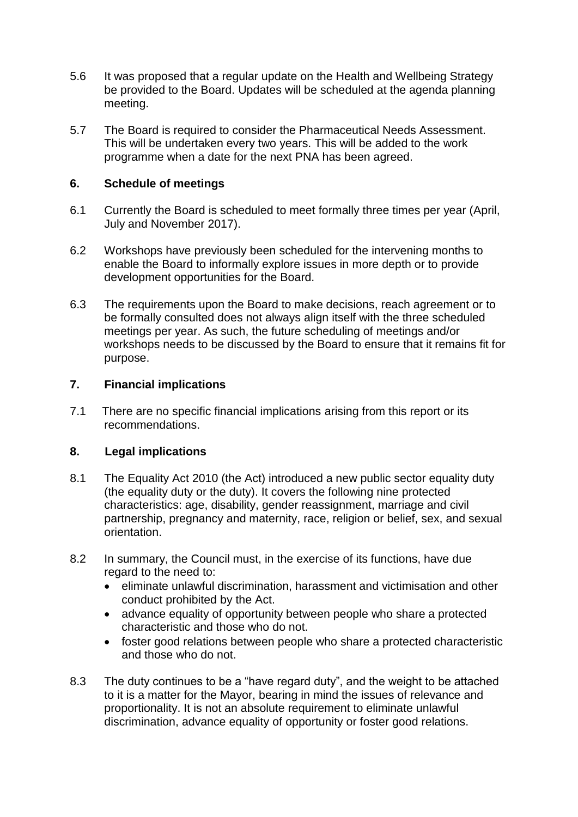- 5.6 It was proposed that a regular update on the Health and Wellbeing Strategy be provided to the Board. Updates will be scheduled at the agenda planning meeting.
- 5.7 The Board is required to consider the Pharmaceutical Needs Assessment. This will be undertaken every two years. This will be added to the work programme when a date for the next PNA has been agreed.

## **6. Schedule of meetings**

- 6.1 Currently the Board is scheduled to meet formally three times per year (April, July and November 2017).
- 6.2 Workshops have previously been scheduled for the intervening months to enable the Board to informally explore issues in more depth or to provide development opportunities for the Board.
- 6.3 The requirements upon the Board to make decisions, reach agreement or to be formally consulted does not always align itself with the three scheduled meetings per year. As such, the future scheduling of meetings and/or workshops needs to be discussed by the Board to ensure that it remains fit for purpose.

## **7. Financial implications**

7.1 There are no specific financial implications arising from this report or its recommendations.

### **8. Legal implications**

- 8.1 The Equality Act 2010 (the Act) introduced a new public sector equality duty (the equality duty or the duty). It covers the following nine protected characteristics: age, disability, gender reassignment, marriage and civil partnership, pregnancy and maternity, race, religion or belief, sex, and sexual orientation.
- 8.2 In summary, the Council must, in the exercise of its functions, have due regard to the need to:
	- eliminate unlawful discrimination, harassment and victimisation and other conduct prohibited by the Act.
	- advance equality of opportunity between people who share a protected characteristic and those who do not.
	- foster good relations between people who share a protected characteristic and those who do not.
- 8.3 The duty continues to be a "have regard duty", and the weight to be attached to it is a matter for the Mayor, bearing in mind the issues of relevance and proportionality. It is not an absolute requirement to eliminate unlawful discrimination, advance equality of opportunity or foster good relations.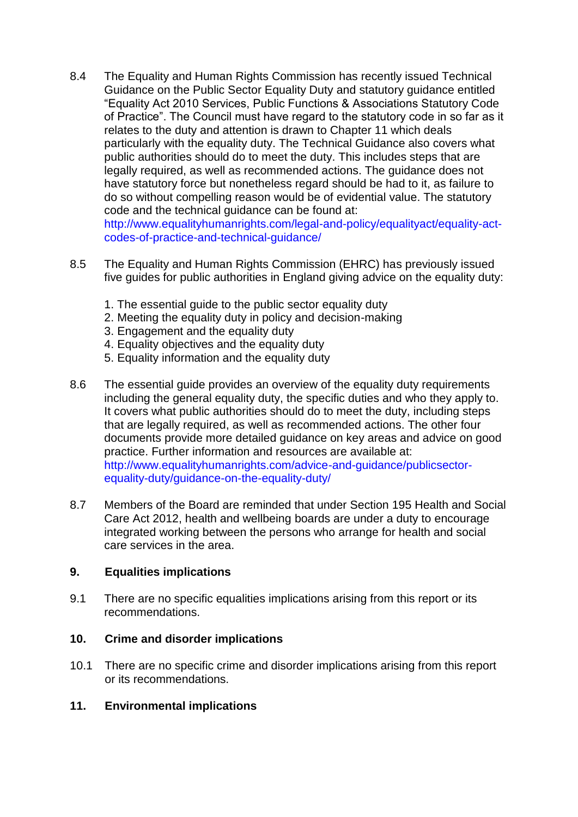- 8.4 The Equality and Human Rights Commission has recently issued Technical Guidance on the Public Sector Equality Duty and statutory guidance entitled "Equality Act 2010 Services, Public Functions & Associations Statutory Code of Practice". The Council must have regard to the statutory code in so far as it relates to the duty and attention is drawn to Chapter 11 which deals particularly with the equality duty. The Technical Guidance also covers what public authorities should do to meet the duty. This includes steps that are legally required, as well as recommended actions. The guidance does not have statutory force but nonetheless regard should be had to it, as failure to do so without compelling reason would be of evidential value. The statutory code and the technical guidance can be found at: http://www.equalityhumanrights.com/legal-and-policy/equalityact/equality-actcodes-of-practice-and-technical-guidance/
- 8.5 The Equality and Human Rights Commission (EHRC) has previously issued five guides for public authorities in England giving advice on the equality duty:
	- 1. The essential guide to the public sector equality duty
	- 2. Meeting the equality duty in policy and decision-making
	- 3. Engagement and the equality duty
	- 4. Equality objectives and the equality duty
	- 5. Equality information and the equality duty
- 8.6 The essential guide provides an overview of the equality duty requirements including the general equality duty, the specific duties and who they apply to. It covers what public authorities should do to meet the duty, including steps that are legally required, as well as recommended actions. The other four documents provide more detailed guidance on key areas and advice on good practice. Further information and resources are available at: http://www.equalityhumanrights.com/advice-and-guidance/publicsectorequality-duty/guidance-on-the-equality-duty/
- 8.7 Members of the Board are reminded that under Section 195 Health and Social Care Act 2012, health and wellbeing boards are under a duty to encourage integrated working between the persons who arrange for health and social care services in the area.

#### **9. Equalities implications**

9.1 There are no specific equalities implications arising from this report or its recommendations.

#### **10. Crime and disorder implications**

10.1 There are no specific crime and disorder implications arising from this report or its recommendations.

### **11. Environmental implications**